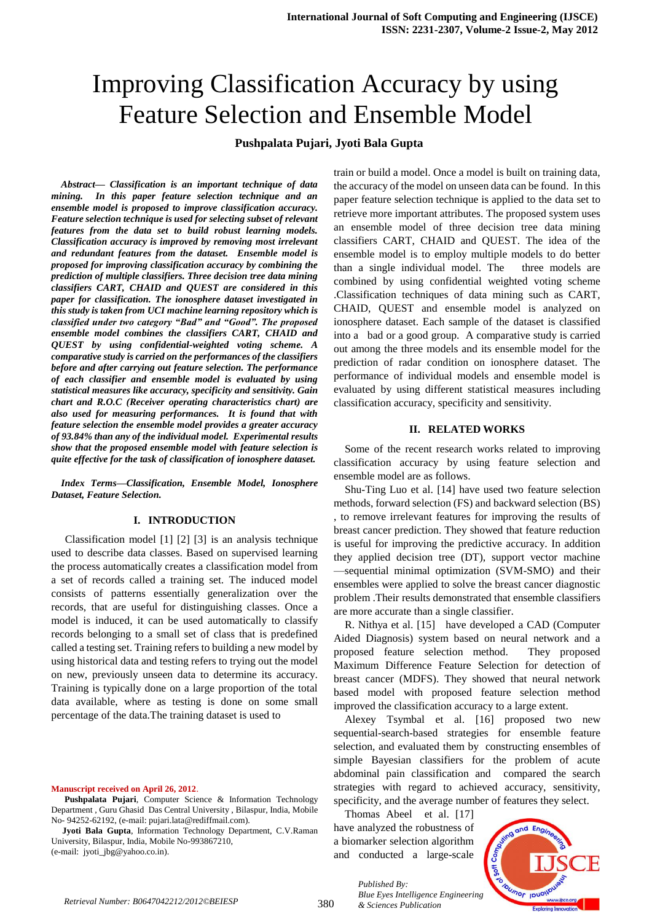# Improving Classification Accuracy by using Feature Selection and Ensemble Model

# **Pushpalata Pujari, Jyoti Bala Gupta**

*Abstract— Classification is an important technique of data mining. In this paper feature selection technique and an ensemble model is proposed to improve classification accuracy. Feature selection technique is used for selecting subset of relevant features from the data set to build robust learning models. Classification accuracy is improved by removing most irrelevant and redundant features from the dataset. Ensemble model is proposed for improving classification accuracy by combining the prediction of multiple classifiers. Three decision tree data mining classifiers CART, CHAID and QUEST are considered in this paper for classification. The ionosphere dataset investigated in this study is taken from UCI machine learning repository which is classified under two category "Bad" and "Good". The proposed ensemble model combines the classifiers CART, CHAID and QUEST by using confidential-weighted voting scheme. A comparative study is carried on the performances of the classifiers before and after carrying out feature selection. The performance of each classifier and ensemble model is evaluated by using statistical measures like accuracy, specificity and sensitivity. Gain chart and R.O.C (Receiver operating characteristics chart) are also used for measuring performances. It is found that with feature selection the ensemble model provides a greater accuracy of 93.84% than any of the individual model. Experimental results show that the proposed ensemble model with feature selection is quite effective for the task of classification of ionosphere dataset.* 

*Index Terms—Classification, Ensemble Model, Ionosphere Dataset, Feature Selection.* 

#### **I. INTRODUCTION**

Classification model [1] [2] [3] is an analysis technique used to describe data classes. Based on supervised learning the process automatically creates a classification model from a set of records called a training set. The induced model consists of patterns essentially generalization over the records, that are useful for distinguishing classes. Once a model is induced, it can be used automatically to classify records belonging to a small set of class that is predefined called a testing set. Training refers to building a new model by using historical data and testing refers to trying out the model on new, previously unseen data to determine its accuracy. Training is typically done on a large proportion of the total data available, where as testing is done on some small percentage of the data.The training dataset is used to

**Manuscript received on April 26, 2012**.

**Pushpalata Pujari**, Computer Science & Information Technology Department , Guru Ghasid Das Central University , Bilaspur, India, Mobile No- 94252-62192, (e-mail: pujari.lata@rediffmail.com).

**Jyoti Bala Gupta**, Information Technology Department, C.V.Raman University, Bilaspur, India, Mobile No-993867210,

(e-mail: jyoti\_jbg@yahoo.co.in).

train or build a model. Once a model is built on training data, the accuracy of the model on unseen data can be found. In this paper feature selection technique is applied to the data set to retrieve more important attributes. The proposed system uses an ensemble model of three decision tree data mining classifiers CART, CHAID and QUEST. The idea of the ensemble model is to employ multiple models to do better than a single individual model. The three models are combined by using confidential weighted voting scheme .Classification techniques of data mining such as CART, CHAID, QUEST and ensemble model is analyzed on ionosphere dataset. Each sample of the dataset is classified into a bad or a good group. A comparative study is carried out among the three models and its ensemble model for the prediction of radar condition on ionosphere dataset. The performance of individual models and ensemble model is evaluated by using different statistical measures including classification accuracy, specificity and sensitivity.

#### **II. RELATED WORKS**

Some of the recent research works related to improving classification accuracy by using feature selection and ensemble model are as follows.

Shu-Ting Luo et al. [14] have used two feature selection methods, forward selection (FS) and backward selection (BS) , to remove irrelevant features for improving the results of breast cancer prediction. They showed that feature reduction is useful for improving the predictive accuracy. In addition they applied decision tree (DT), support vector machine —sequential minimal optimization (SVM-SMO) and their ensembles were applied to solve the breast cancer diagnostic problem .Their results demonstrated that ensemble classifiers are more accurate than a single classifier.

R. Nithya et al. [15] have developed a CAD (Computer Aided Diagnosis) system based on neural network and a proposed feature selection method. They proposed Maximum Difference Feature Selection for detection of breast cancer (MDFS). They showed that neural network based model with proposed feature selection method improved the classification accuracy to a large extent.

Alexey Tsymbal et al. [16] proposed two new sequential-search-based strategies for ensemble feature selection, and evaluated them by constructing ensembles of simple Bayesian classifiers for the problem of acute abdominal pain classification and compared the search strategies with regard to achieved accuracy, sensitivity, specificity, and the average number of features they select.

Thomas Abeel et al. [17] have analyzed the robustness of a biomarker selection algorithm and conducted a large-scale



*Published By: Blue Eyes Intelligence Engineering & Sciences Publication*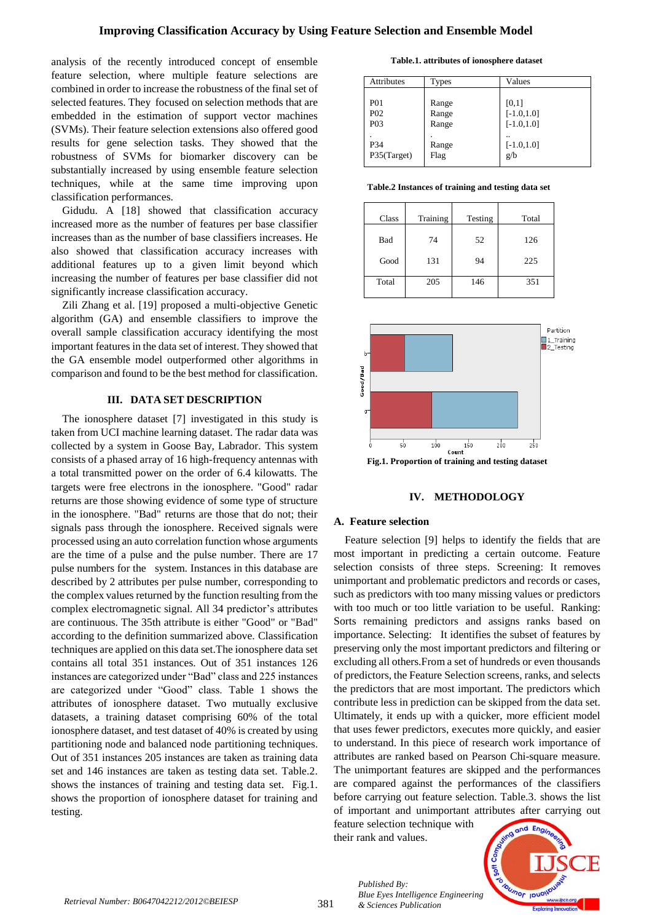analysis of the recently introduced concept of ensemble feature selection, where multiple feature selections are combined in order to increase the robustness of the final set of selected features. They focused on selection methods that are embedded in the estimation of support vector machines (SVMs). Their feature selection extensions also offered good results for gene selection tasks. They showed that the robustness of SVMs for biomarker discovery can be substantially increased by using ensemble feature selection techniques, while at the same time improving upon classification performances.

Gidudu. A [18] showed that classification accuracy increased more as the number of features per base classifier increases than as the number of base classifiers increases. He also showed that classification accuracy increases with additional features up to a given limit beyond which increasing the number of features per base classifier did not significantly increase classification accuracy.

Zili Zhang et al. [19] proposed a multi-objective Genetic algorithm (GA) and ensemble classifiers to improve the overall sample classification accuracy identifying the most important features in the data set of interest. They showed that the GA ensemble model outperformed other algorithms in comparison and found to be the best method for classification.

## **III. DATA SET DESCRIPTION**

The ionosphere dataset [7] investigated in this study is taken from UCI machine learning dataset. The radar data was collected by a system in Goose Bay, Labrador. This system consists of a phased array of 16 high-frequency antennas with a total transmitted power on the order of 6.4 kilowatts. The targets were free electrons in the ionosphere. "Good" radar returns are those showing evidence of some type of structure in the ionosphere. "Bad" returns are those that do not; their signals pass through the ionosphere. Received signals were processed using an auto correlation function whose arguments are the time of a pulse and the pulse number. There are 17 pulse numbers for the system. Instances in this database are described by 2 attributes per pulse number, corresponding to the complex values returned by the function resulting from the complex electromagnetic signal. All 34 predictor's attributes are continuous. The 35th attribute is either "Good" or "Bad" according to the definition summarized above. Classification techniques are applied on this data set.The ionosphere data set contains all total 351 instances. Out of 351 instances 126 instances are categorized under "Bad" class and 225 instances are categorized under "Good" class. Table 1 shows the attributes of ionosphere dataset. Two mutually exclusive datasets, a training dataset comprising 60% of the total ionosphere dataset, and test dataset of 40% is created by using partitioning node and balanced node partitioning techniques. Out of 351 instances 205 instances are taken as training data set and 146 instances are taken as testing data set. Table.2. shows the instances of training and testing data set. Fig.1. shows the proportion of ionosphere dataset for training and testing.

**Table.1. attributes of ionosphere dataset**

| Attributes                                             | <b>Types</b>            | Values                                  |
|--------------------------------------------------------|-------------------------|-----------------------------------------|
| P <sub>01</sub><br>P <sub>02</sub><br>P <sub>0</sub> 3 | Range<br>Range<br>Range | [0,1]<br>$[-1.0, 1.0]$<br>$[-1.0, 1.0]$ |
| P34<br>P35(Target)                                     | Range<br>Flag           | $\cdot$ .<br>$[-1.0, 1.0]$<br>g/b       |

**Table.2 Instances of training and testing data set**

| Class | Training | Testing | Total |
|-------|----------|---------|-------|
| Bad   | 74       | 52      | 126   |
| Good  | 131      | 94      | 225   |
| Total | 205      | 146     | 351   |



### **IV. METHODOLOGY**

# **A. Feature selection**

Feature selection [9] helps to identify the fields that are most important in predicting a certain outcome. Feature selection consists of three steps. Screening: It removes unimportant and problematic predictors and records or cases, such as predictors with too many missing values or predictors with too much or too little variation to be useful. Ranking: Sorts remaining predictors and assigns ranks based on importance. Selecting: It identifies the subset of features by preserving only the most important predictors and filtering or excluding all others.From a set of hundreds or even thousands of predictors, the Feature Selection screens, ranks, and selects the predictors that are most important. The predictors which contribute less in prediction can be skipped from the data set. Ultimately, it ends up with a quicker, more efficient model that uses fewer predictors, executes more quickly, and easier to understand. In this piece of research work importance of attributes are ranked based on Pearson Chi-square measure. The unimportant features are skipped and the performances are compared against the performances of the classifiers before carrying out feature selection. Table.3. shows the list of important and unimportant attributes after carrying out

feature selection technique with their rank and values.

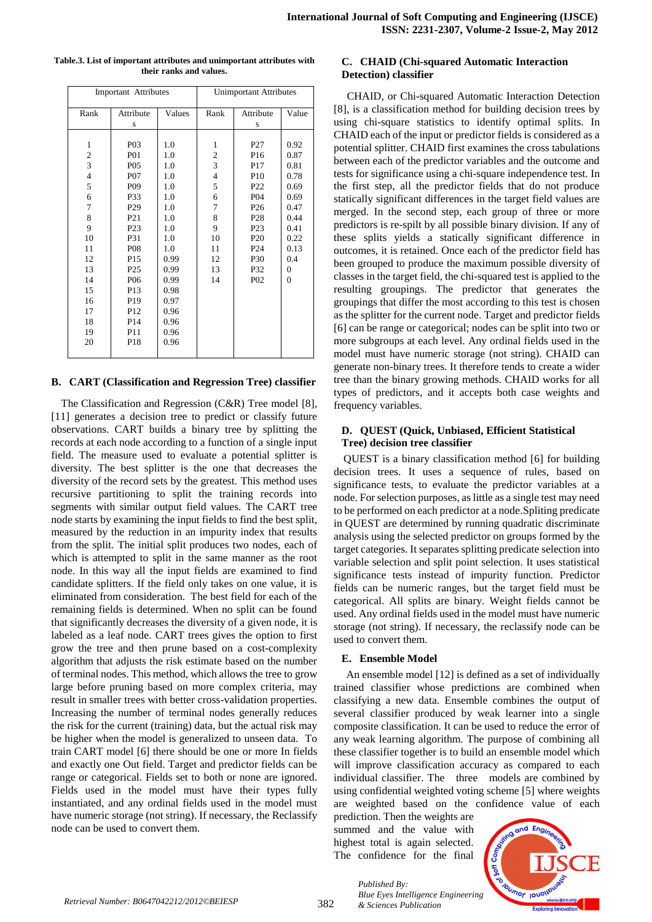| <b>Important</b> Attributes |                  | <b>Unimportant Attributes</b> |                |                 |          |
|-----------------------------|------------------|-------------------------------|----------------|-----------------|----------|
| Rank                        | Attribute        | Values                        | Rank           | Attribute       | Value    |
|                             | S                |                               |                | S               |          |
|                             |                  |                               |                |                 |          |
| $\mathbf{1}$                | P03              | 1.0                           | 1              | P <sub>27</sub> | 0.92     |
| $\overline{\mathbf{c}}$     | <b>P01</b>       | 1.0                           | 2              | P <sub>16</sub> | 0.87     |
| $\overline{\mathbf{3}}$     | P <sub>05</sub>  | 1.0                           | $\overline{3}$ | P <sub>17</sub> | 0.81     |
| $\overline{4}$              | P <sub>0</sub> 7 | 1.0                           | 4              | P <sub>10</sub> | 0.78     |
| 5                           | P <sub>09</sub>  | 1.0                           | 5              | P <sub>22</sub> | 0.69     |
| 6                           | P33              | 1.0                           | 6              | P <sub>04</sub> | 0.69     |
| $\tau$                      | P <sub>29</sub>  | 1.0                           | 7              | P <sub>26</sub> | 0.47     |
| 8                           | P <sub>21</sub>  | 1.0                           | 8              | P <sub>28</sub> | 0.44     |
| 9                           | P <sub>23</sub>  | 1.0                           | 9              | P <sub>23</sub> | 0.41     |
| 10                          | P31              | 1.0                           | 10             | P <sub>20</sub> | 0.22     |
| 11                          | <b>P08</b>       | 1.0                           | 11             | P <sub>24</sub> | 0.13     |
| 12                          | P <sub>15</sub>  | 0.99                          | 12             | P30             | 0.4      |
| 13                          | P <sub>25</sub>  | 0.99                          | 13             | P32             | $\theta$ |
| 14                          | P <sub>06</sub>  | 0.99                          | 14             | P <sub>02</sub> | $\theta$ |
| 15                          | P13              | 0.98                          |                |                 |          |
| 16                          | P <sub>19</sub>  | 0.97                          |                |                 |          |
| 17                          | P <sub>12</sub>  | 0.96                          |                |                 |          |
| 18                          | P <sub>14</sub>  | 0.96                          |                |                 |          |
| 19                          | P11              | 0.96                          |                |                 |          |
| 20                          | P18              | 0.96                          |                |                 |          |
|                             |                  |                               |                |                 |          |

#### **Table.3. List of important attributes and unimportant attributes with their ranks and values.**

## **B. CART (Classification and Regression Tree) classifier**

The Classification and Regression (C&R) Tree model [8], [11] generates a decision tree to predict or classify future observations. CART builds a binary tree by splitting the records at each node according to a function of a single input field. The measure used to evaluate a potential splitter is diversity. The best splitter is the one that decreases the diversity of the record sets by the greatest. This method uses recursive partitioning to split the training records into segments with similar output field values. The CART tree node starts by examining the input fields to find the best split, measured by the reduction in an impurity index that results from the split. The initial split produces two nodes, each of which is attempted to split in the same manner as the root node. In this way all the input fields are examined to find candidate splitters. If the field only takes on one value, it is eliminated from consideration. The best field for each of the remaining fields is determined. When no split can be found that significantly decreases the diversity of a given node, it is labeled as a leaf node. CART trees gives the option to first grow the tree and then prune based on a cost-complexity algorithm that adjusts the risk estimate based on the number of terminal nodes. This method, which allows the tree to grow large before pruning based on more complex criteria, may result in smaller trees with better cross-validation properties. Increasing the number of terminal nodes generally reduces the risk for the current (training) data, but the actual risk may be higher when the model is generalized to unseen data. To train CART model [6] there should be one or more In fields and exactly one Out field. Target and predictor fields can be range or categorical. Fields set to both or none are ignored. Fields used in the model must have their types fully instantiated, and any ordinal fields used in the model must have numeric storage (not string). If necessary, the Reclassify node can be used to convert them.

## **C. CHAID (Chi-squared Automatic Interaction Detection) classifier**

CHAID, or Chi-squared Automatic Interaction Detection [8], is a classification method for building decision trees by using chi-square statistics to identify optimal splits. In CHAID each of the input or predictor fields is considered as a potential splitter. CHAID first examines the cross tabulations between each of the predictor variables and the outcome and tests for significance using a chi-square independence test. In the first step, all the predictor fields that do not produce statically significant differences in the target field values are merged. In the second step, each group of three or more predictors is re-spilt by all possible binary division. If any of these splits yields a statically significant difference in outcomes, it is retained. Once each of the predictor field has been grouped to produce the maximum possible diversity of classes in the target field, the chi-squared test is applied to the resulting groupings. The predictor that generates the groupings that differ the most according to this test is chosen as the splitter for the current node. Target and predictor fields [6] can be range or categorical; nodes can be split into two or more subgroups at each level. Any ordinal fields used in the model must have numeric storage (not string). CHAID can generate non-binary trees. It therefore tends to create a wider tree than the binary growing methods. CHAID works for all types of predictors, and it accepts both case weights and frequency variables.

## **D. QUEST (Quick, Unbiased, Efficient Statistical Tree) decision tree classifier**

QUEST is a binary classification method [6] for building decision trees. It uses a sequence of rules, based on significance tests, to evaluate the predictor variables at a node. For selection purposes, as little as a single test may need to be performed on each predictor at a node.Spliting predicate in QUEST are determined by running quadratic discriminate analysis using the selected predictor on groups formed by the target categories. It separates splitting predicate selection into variable selection and split point selection. It uses statistical significance tests instead of impurity function. Predictor fields can be numeric ranges, but the target field must be categorical. All splits are binary. Weight fields cannot be used. Any ordinal fields used in the model must have numeric storage (not string). If necessary, the reclassify node can be used to convert them.

# **E. Ensemble Model**

An ensemble model [12] is defined as a set of individually trained classifier whose predictions are combined when classifying a new data. Ensemble combines the output of several classifier produced by weak learner into a single composite classification. It can be used to reduce the error of any weak learning algorithm. The purpose of combining all these classifier together is to build an ensemble model which will improve classification accuracy as compared to each individual classifier. The three models are combined by using confidential weighted voting scheme [5] where weights are weighted based on the confidence value of each

prediction. Then the weights are summed and the value with highest total is again selected. The confidence for the final

*Published By:*

*& Sciences Publication* 

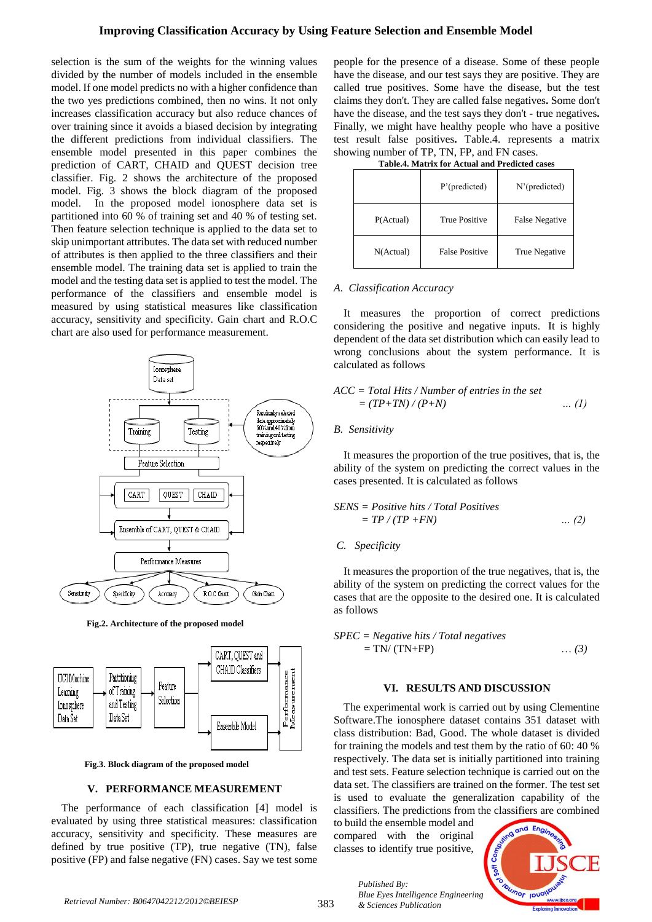# **Improving Classification Accuracy by Using Feature Selection and Ensemble Model**

selection is the sum of the weights for the winning values divided by the number of models included in the ensemble model. If one model predicts no with a higher confidence than the two yes predictions combined, then no wins. It not only increases classification accuracy but also reduce chances of over training since it avoids a biased decision by integrating the different predictions from individual classifiers. The ensemble model presented in this paper combines the prediction of CART, CHAID and QUEST decision tree classifier. Fig. 2 shows the architecture of the proposed model. Fig. 3 shows the block diagram of the proposed model. In the proposed model ionosphere data set is partitioned into 60 % of training set and 40 % of testing set. Then feature selection technique is applied to the data set to skip unimportant attributes. The data set with reduced number of attributes is then applied to the three classifiers and their ensemble model. The training data set is applied to train the model and the testing data set is applied to test the model. The performance of the classifiers and ensemble model is measured by using statistical measures like classification accuracy, sensitivity and specificity. Gain chart and R.O.C chart are also used for performance measurement.



**Fig.2. Architecture of the proposed model**



**Fig.3. Block diagram of the proposed model**

### **V. PERFORMANCE MEASUREMENT**

The performance of each classification [4] model is evaluated by using three statistical measures: classification accuracy, sensitivity and specificity. These measures are defined by true positive (TP), true negative (TN), false positive (FP) and false negative (FN) cases. Say we test some people for the presence of a disease. Some of these people have the disease, and our test says they are positive. They are called true positives. Some have the disease, but the test claims they don't. They are called false negatives**.** Some don't have the disease, and the test says they don't **-** true negatives**.** Finally, we might have healthy people who have a positive test result false positives**.** Table.4. represents a matrix showing number of TP, TN, FP, and FN cases.

**Table.4. Matrix for Actual and Predicted cases**

|           | $P'$ (predicted)      | N'(predicted)  |
|-----------|-----------------------|----------------|
| P(Actual) | <b>True Positive</b>  | False Negative |
| N(Actual) | <b>False Positive</b> | True Negative  |

### *A. Classification Accuracy*

It measures the proportion of correct predictions considering the positive and negative inputs. It is highly dependent of the data set distribution which can easily lead to wrong conclusions about the system performance. It is calculated as follows

$$
ACC = Total Hits / Number of entries in the set
$$
  
=  $(TP+TN)/(P+N)$  ... (1)

## *B. Sensitivity*

It measures the proportion of the true positives, that is, the ability of the system on predicting the correct values in the cases presented. It is calculated as follows

$$
SENS = Positive hits / Total Positives
$$
  
= TP / (TP + FN) ... (2)

## *C. Specificity*

It measures the proportion of the true negatives, that is, the ability of the system on predicting the correct values for the cases that are the opposite to the desired one. It is calculated as follows

$$
SPEC = Negative hits / Total negatives
$$
  
= TN/(TN+FP) ... (3)

### **VI. RESULTS AND DISCUSSION**

The experimental work is carried out by using Clementine Software.The ionosphere dataset contains 351 dataset with class distribution: Bad, Good. The whole dataset is divided for training the models and test them by the ratio of 60: 40 % respectively. The data set is initially partitioned into training and test sets. Feature selection technique is carried out on the data set. The classifiers are trained on the former. The test set is used to evaluate the generalization capability of the classifiers. The predictions from the classifiers are combined

to build the ensemble model and compared with the original classes to identify true positive,



*Published By: Blue Eyes Intelligence Engineering & Sciences Publication*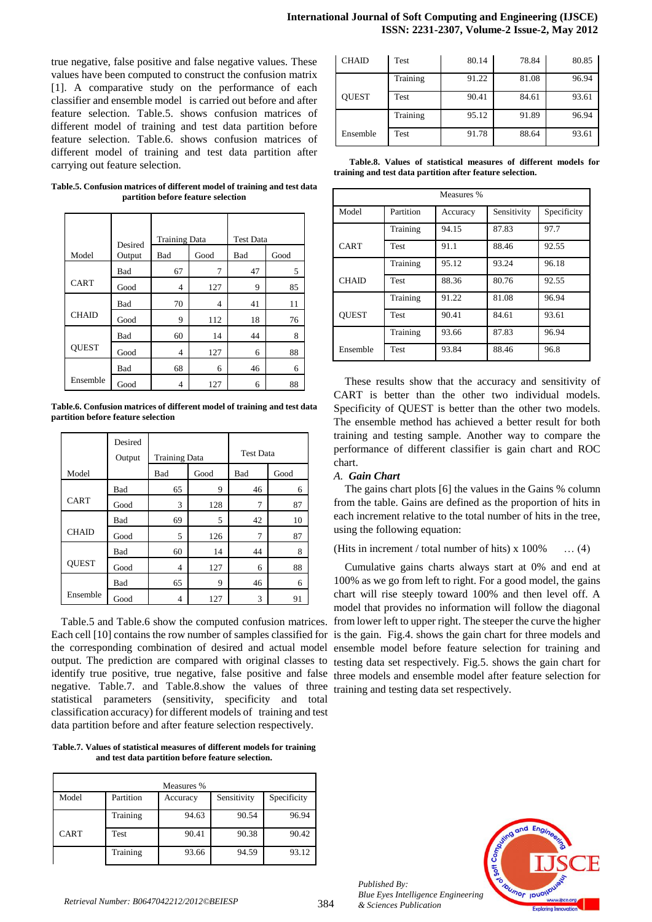true negative, false positive and false negative values. These values have been computed to construct the confusion matrix [1]. A comparative study on the performance of each classifier and ensemble model is carried out before and after feature selection. Table.5. shows confusion matrices of different model of training and test data partition before feature selection. Table.6. shows confusion matrices of different model of training and test data partition after carrying out feature selection.

**Table.5. Confusion matrices of different model of training and test data partition before feature selection**

|              | Desired    | <b>Training Data</b> |      | <b>Test Data</b> |      |
|--------------|------------|----------------------|------|------------------|------|
| Model        | Output     | Bad                  | Good | Bad              | Good |
|              | <b>Bad</b> | 67                   | 7    | 47               | 5    |
| <b>CART</b>  | Good       | 4                    | 127  | 9                | 85   |
|              | Bad        | 70                   | 4    | 41               | 11   |
| <b>CHAID</b> | Good       | 9                    | 112  | 18               | 76   |
|              | Bad        | 60                   | 14   | 44               | 8    |
| <b>QUEST</b> | Good       | 4                    | 127  | 6                | 88   |
|              | Bad        | 68                   | 6    | 46               | 6    |
| Ensemble     | Good       | 4                    | 127  | 6                | 88   |

**Table.6. Confusion matrices of different model of training and test data partition before feature selection**

|              | Desired<br>Output | <b>Training Data</b> |      | <b>Test Data</b> |      |
|--------------|-------------------|----------------------|------|------------------|------|
| Model        |                   | Bad                  | Good | Bad              | Good |
|              | Bad               | 65                   | 9    | 46               | 6    |
| <b>CART</b>  | Good              | 3                    | 128  | 7                | 87   |
|              | Bad               | 69                   | 5    | 42               | 10   |
| <b>CHAID</b> | Good              | 5                    | 126  | 7                | 87   |
|              | Bad               | 60                   | 14   | 44               | 8    |
| <b>OUEST</b> | Good              | 4                    | 127  | 6                | 88   |
|              | Bad               | 65                   | 9    | 46               | 6    |
| Ensemble     | Good              | 4                    | 127  | 3                | 91   |

Table.5 and Table.6 show the computed confusion matrices. Each cell [10] contains the row number of samples classified for is the gain. Fig.4. shows the gain chart for three models and the corresponding combination of desired and actual model output. The prediction are compared with original classes to testing data set respectively. Fig.5. shows the gain chart for identify true positive, true negative, false positive and false three models and ensemble model after feature selection for negative. Table.7. and Table.8.show the values of three training and testing data set respectively.statistical parameters (sensitivity, specificity and total classification accuracy) for different models of training and test data partition before and after feature selection respectively.

**Table.7. Values of statistical measures of different models for training and test data partition before feature selection.**

| Measures %  |           |          |             |             |  |
|-------------|-----------|----------|-------------|-------------|--|
| Model       | Partition | Accuracy | Sensitivity | Specificity |  |
|             | Training  | 94.63    | 90.54       | 96.94       |  |
| <b>CART</b> | Test      | 90.41    | 90.38       | 90.42       |  |
|             | Training  | 93.66    | 94.59       | 93.12       |  |

| <b>CHAID</b> | Test        | 80.14 | 78.84 | 80.85 |
|--------------|-------------|-------|-------|-------|
|              | Training    | 91.22 | 81.08 | 96.94 |
| <b>OUEST</b> | Test        | 90.41 | 84.61 | 93.61 |
|              | Training    | 95.12 | 91.89 | 96.94 |
| Ensemble     | <b>Test</b> | 91.78 | 88.64 | 93.61 |

 **Table.8. Values of statistical measures of different models for training and test data partition after feature selection.**

| Measures %   |             |          |             |             |  |
|--------------|-------------|----------|-------------|-------------|--|
| Model        | Partition   | Accuracy | Sensitivity | Specificity |  |
|              | Training    | 94.15    | 87.83       | 97.7        |  |
| CART         | Test        | 91.1     | 88.46       | 92.55       |  |
|              | Training    | 95.12    | 93.24       | 96.18       |  |
| <b>CHAID</b> | <b>Test</b> | 88.36    | 80.76       | 92.55       |  |
|              | Training    | 91.22    | 81.08       | 96.94       |  |
| <b>OUEST</b> | <b>Test</b> | 90.41    | 84.61       | 93.61       |  |
|              | Training    | 93.66    | 87.83       | 96.94       |  |
| Ensemble     | Test        | 93.84    | 88.46       | 96.8        |  |

These results show that the accuracy and sensitivity of CART is better than the other two individual models. Specificity of QUEST is better than the other two models. The ensemble method has achieved a better result for both training and testing sample. Another way to compare the performance of different classifier is gain chart and ROC chart.

# *A. Gain Chart*

The gains chart plots [6] the values in the Gains % column from the table. Gains are defined as the proportion of hits in each increment relative to the total number of hits in the tree, using the following equation:

# (Hits in increment / total number of hits)  $x 100\%$  ... (4)

Cumulative gains charts always start at 0% and end at 100% as we go from left to right. For a good model, the gains chart will rise steeply toward 100% and then level off. A model that provides no information will follow the diagonal from lower left to upper right. The steeper the curve the higher ensemble model before feature selection for training and

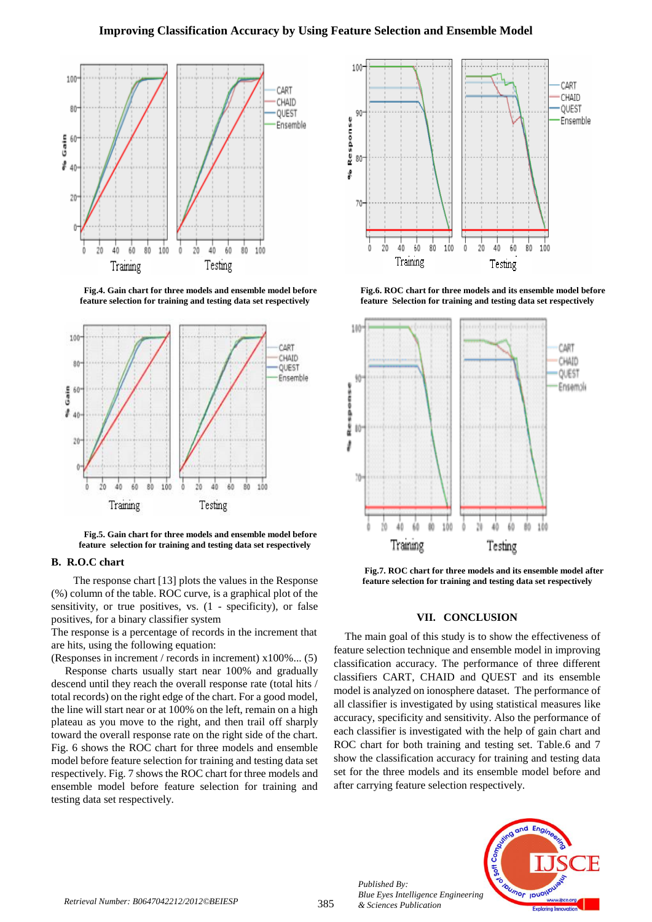

**Fig.4. Gain chart for three models and ensemble model before feature selection for training and testing data set respectively**



**Fig.5. Gain chart for three models and ensemble model before feature selection for training and testing data set respectively**

#### **B. R.O.C chart**

The response chart [13] plots the values in the Response (%) column of the table. ROC curve, is a graphical plot of the sensitivity, or true positives, vs. (1 - specificity), or false positives, for a binary classifier system

The response is a percentage of records in the increment that are hits, using the following equation:

(Responses in increment / records in increment) x100%... (5) Response charts usually start near 100% and gradually descend until they reach the overall response rate (total hits / total records) on the right edge of the chart. For a good model, the line will start near or at 100% on the left, remain on a high plateau as you move to the right, and then trail off sharply toward the overall response rate on the right side of the chart. Fig. 6 shows the ROC chart for three models and ensemble model before feature selection for training and testing data set respectively. Fig. 7 shows the ROC chart for three models and ensemble model before feature selection for training and testing data set respectively.



**Fig.6. ROC chart for three models and its ensemble model before feature Selection for training and testing data set respectively**



**Fig.7. ROC chart for three models and its ensemble model after feature selection for training and testing data set respectively**

#### **VII. CONCLUSION**

The main goal of this study is to show the effectiveness of feature selection technique and ensemble model in improving classification accuracy. The performance of three different classifiers CART, CHAID and QUEST and its ensemble model is analyzed on ionosphere dataset. The performance of all classifier is investigated by using statistical measures like accuracy, specificity and sensitivity. Also the performance of each classifier is investigated with the help of gain chart and ROC chart for both training and testing set. Table.6 and 7 show the classification accuracy for training and testing data set for the three models and its ensemble model before and after carrying feature selection respectively.